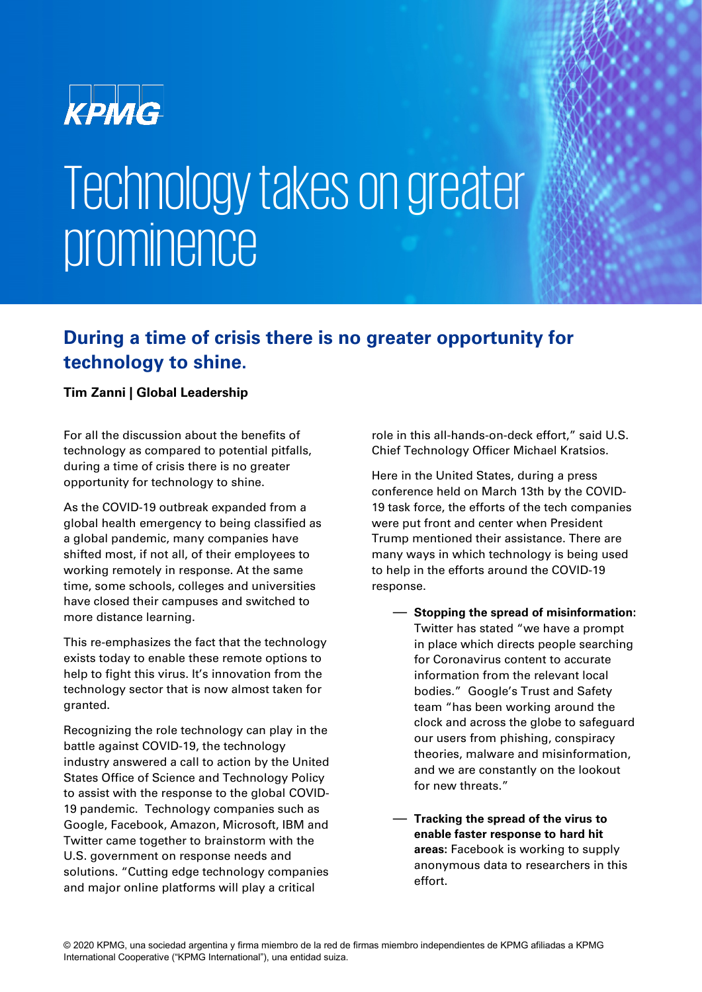

# Technology takes on greater prominence

#### **During a time of crisis there is no greater opportunity for technology to shine.**

#### **Tim Zanni | Global Leadership**

For all the discussion about the benefits of technology as compared to potential pitfalls, during a time of crisis there is no greater opportunity for technology to shine.

As the COVID-19 outbreak expanded from a global health emergency to being classified as a global pandemic, many companies have shifted most, if not all, of their employees to working remotely in response. At the same time, some schools, colleges and universities have closed their campuses and switched to more distance learning.

This re-emphasizes the fact that the technology exists today to enable these remote options to help to fight this virus. It's innovation from the technology sector that is now almost taken for granted.

Recognizing the role technology can play in the battle against COVID-19, the technology industry answered a call to action by the United States Office of Science and Technology Policy to assist with the response to the global COVID-19 pandemic. Technology companies such as Google, Facebook, Amazon, Microsoft, IBM and Twitter came together to brainstorm with the U.S. government on response needs and solutions. "Cutting edge technology companies and major online platforms will play a critical

role in this all-hands-on-deck effort," said U.S. Chief Technology Officer Michael Kratsios.

Here in the United States, during a press conference held on March 13th by the COVID-19 task force, the efforts of the tech companies were put front and center when President Trump mentioned their assistance. There are many ways in which technology is being used to help in the efforts around the COVID-19 response.

- **Stopping the spread of misinformation:** Twitter has stated "we have a prompt in place which directs people searching for Coronavirus content to accurate information from the relevant local bodies." Google's Trust and Safety team "has been working around the clock and across the globe to safeguard our users from phishing, conspiracy theories, malware and misinformation, and we are constantly on the lookout for new threats."
- **Tracking the spread of the virus to enable faster response to hard hit areas:** Facebook is working to supply anonymous data to researchers in this effort.